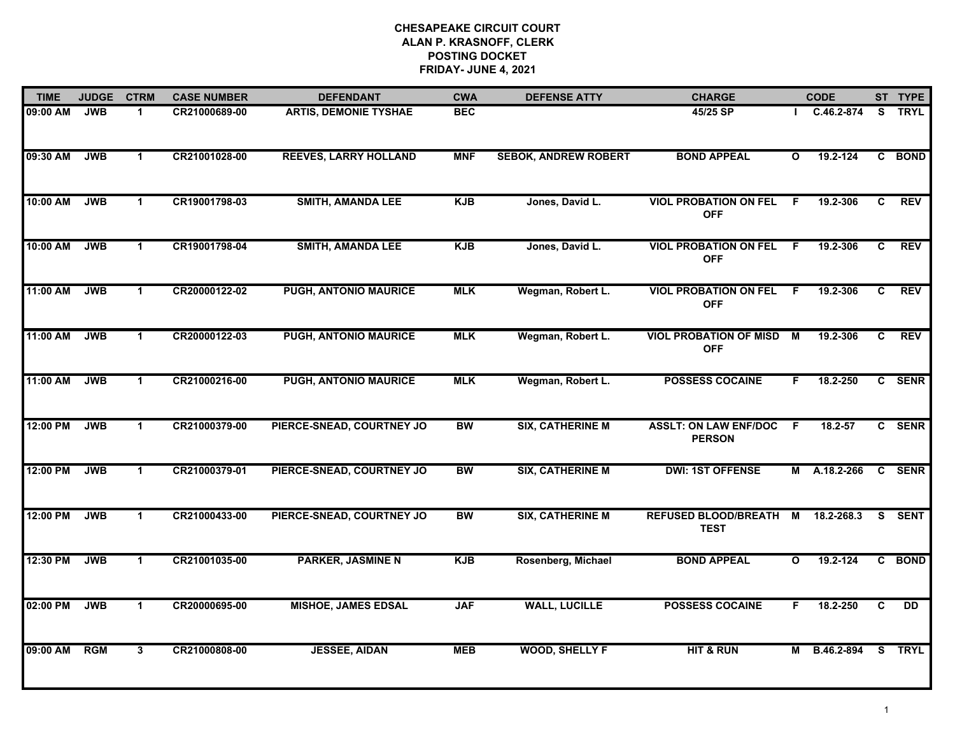| <b>TIME</b> | <b>JUDGE</b> | <b>CTRM</b>          | <b>CASE NUMBER</b> | <b>DEFENDANT</b>             | <b>CWA</b> | <b>DEFENSE ATTY</b>         | <b>CHARGE</b>                                 |              | <b>CODE</b> |              | ST TYPE     |
|-------------|--------------|----------------------|--------------------|------------------------------|------------|-----------------------------|-----------------------------------------------|--------------|-------------|--------------|-------------|
| 09:00 AM    | <b>JWB</b>   | -1                   | CR21000689-00      | <b>ARTIS, DEMONIE TYSHAE</b> | <b>BEC</b> |                             | 45/25 SP                                      |              | C.46.2-874  | S.           | <b>TRYL</b> |
| 09:30 AM    | <b>JWB</b>   | $\mathbf{1}$         | CR21001028-00      | <b>REEVES, LARRY HOLLAND</b> | <b>MNF</b> | <b>SEBOK, ANDREW ROBERT</b> | <b>BOND APPEAL</b>                            | $\mathbf{o}$ | 19.2-124    | C            | <b>BOND</b> |
| 10:00 AM    | <b>JWB</b>   | $\mathbf{1}$         | CR19001798-03      | <b>SMITH, AMANDA LEE</b>     | <b>KJB</b> | Jones, David L.             | <b>VIOL PROBATION ON FEL</b><br><b>OFF</b>    | F.           | 19.2-306    | C.           | <b>REV</b>  |
| 10:00 AM    | <b>JWB</b>   | $\mathbf 1$          | CR19001798-04      | <b>SMITH, AMANDA LEE</b>     | <b>KJB</b> | Jones, David L.             | <b>VIOL PROBATION ON FEL</b><br><b>OFF</b>    | - F          | 19.2-306    | C.           | <b>REV</b>  |
| 11:00 AM    | <b>JWB</b>   | $\blacktriangleleft$ | CR20000122-02      | PUGH, ANTONIO MAURICE        | <b>MLK</b> | Wegman, Robert L.           | <b>VIOL PROBATION ON FEL</b><br><b>OFF</b>    | F.           | 19.2-306    | $\mathbf{c}$ | <b>REV</b>  |
| 11:00 AM    | <b>JWB</b>   | $\blacktriangleleft$ | CR20000122-03      | <b>PUGH, ANTONIO MAURICE</b> | <b>MLK</b> | Wegman, Robert L.           | <b>VIOL PROBATION OF MISD</b><br><b>OFF</b>   | M            | 19.2-306    | C            | <b>REV</b>  |
| 11:00 AM    | <b>JWB</b>   | $\mathbf{1}$         | CR21000216-00      | <b>PUGH, ANTONIO MAURICE</b> | <b>MLK</b> | Wegman, Robert L.           | <b>POSSESS COCAINE</b>                        | F.           | 18.2-250    |              | C SENR      |
| 12:00 PM    | <b>JWB</b>   | $\mathbf 1$          | CR21000379-00      | PIERCE-SNEAD, COURTNEY JO    | <b>BW</b>  | <b>SIX, CATHERINE M</b>     | <b>ASSLT: ON LAW ENF/DOC</b><br><b>PERSON</b> | -F           | 18.2-57     |              | C SENR      |
| 12:00 PM    | <b>JWB</b>   | -1                   | CR21000379-01      | PIERCE-SNEAD, COURTNEY JO    | <b>BW</b>  | <b>SIX, CATHERINE M</b>     | <b>DWI: 1ST OFFENSE</b>                       | м            | A.18.2-266  |              | C SENR      |
| 12:00 PM    | <b>JWB</b>   | $\blacktriangleleft$ | CR21000433-00      | PIERCE-SNEAD, COURTNEY JO    | <b>BW</b>  | <b>SIX, CATHERINE M</b>     | <b>REFUSED BLOOD/BREATH M</b><br><b>TEST</b>  |              | 18.2-268.3  |              | S SENT      |
| 12:30 PM    | <b>JWB</b>   | $\mathbf 1$          | CR21001035-00      | <b>PARKER, JASMINE N</b>     | <b>KJB</b> | Rosenberg, Michael          | <b>BOND APPEAL</b>                            | $\mathbf{o}$ | 19.2-124    |              | C BOND      |
| 02:00 PM    | <b>JWB</b>   | $\blacktriangleleft$ | CR20000695-00      | <b>MISHOE, JAMES EDSAL</b>   | <b>JAF</b> | <b>WALL, LUCILLE</b>        | <b>POSSESS COCAINE</b>                        | F.           | 18.2-250    | C            | DD          |
| 09:00 AM    | <b>RGM</b>   | 3                    | CR21000808-00      | <b>JESSEE, AIDAN</b>         | <b>MEB</b> | <b>WOOD, SHELLY F</b>       | <b>HIT &amp; RUN</b>                          | М            | B.46.2-894  |              | S TRYL      |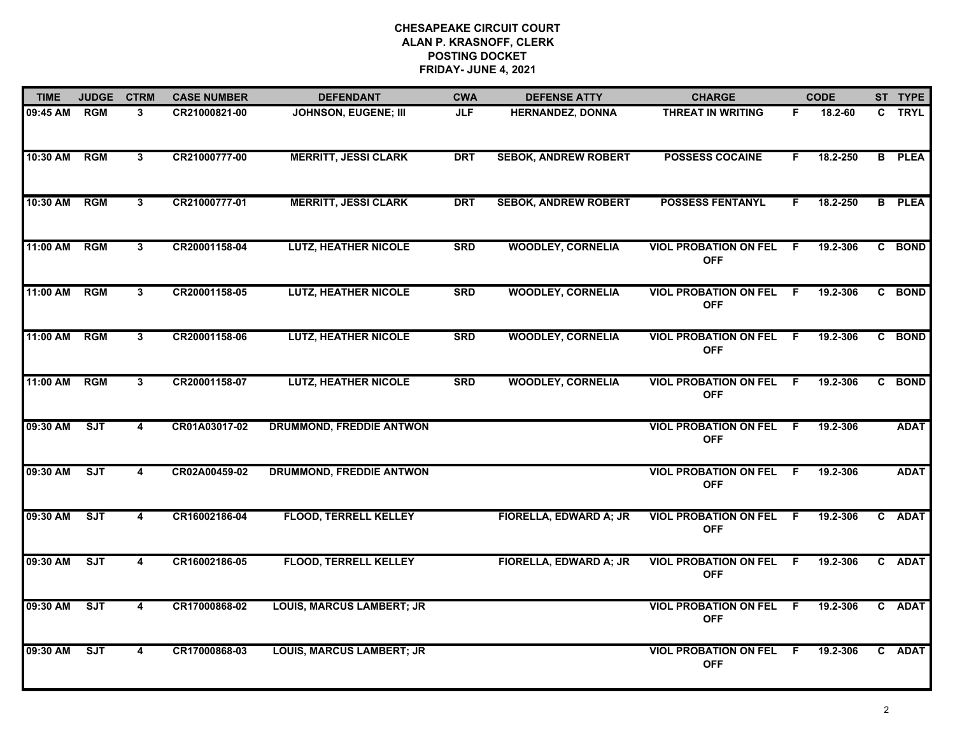| <b>TIME</b>  | <b>JUDGE</b> | <b>CTRM</b>             | <b>CASE NUMBER</b> | <b>DEFENDANT</b>                 | <b>CWA</b> | <b>DEFENSE ATTY</b>         | <b>CHARGE</b>                                |     | <b>CODE</b> | ST TYPE       |
|--------------|--------------|-------------------------|--------------------|----------------------------------|------------|-----------------------------|----------------------------------------------|-----|-------------|---------------|
| 09:45 AM     | <b>RGM</b>   | 3                       | CR21000821-00      | <b>JOHNSON, EUGENE; III</b>      | <b>JLF</b> | <b>HERNANDEZ, DONNA</b>     | THREAT IN WRITING                            | F.  | 18.2-60     | C TRYL        |
| 10:30 AM     | RGM          | 3                       | CR21000777-00      | <b>MERRITT, JESSI CLARK</b>      | <b>DRT</b> | <b>SEBOK, ANDREW ROBERT</b> | <b>POSSESS COCAINE</b>                       | F.  | 18.2-250    | <b>B</b> PLEA |
| 10:30 AM     | <b>RGM</b>   | $\overline{3}$          | CR21000777-01      | <b>MERRITT, JESSI CLARK</b>      | <b>DRT</b> | <b>SEBOK, ANDREW ROBERT</b> | <b>POSSESS FENTANYL</b>                      | F.  | 18.2-250    | <b>B</b> PLEA |
| 11:00 AM     | <b>RGM</b>   | 3                       | CR20001158-04      | <b>LUTZ, HEATHER NICOLE</b>      | <b>SRD</b> | <b>WOODLEY, CORNELIA</b>    | <b>VIOL PROBATION ON FEL</b><br><b>OFF</b>   | -F  | 19.2-306    | C BOND        |
| 11:00 AM     | <b>RGM</b>   | $\mathbf{3}$            | CR20001158-05      | <b>LUTZ, HEATHER NICOLE</b>      | <b>SRD</b> | <b>WOODLEY, CORNELIA</b>    | <b>VIOL PROBATION ON FEL</b><br><b>OFF</b>   | F.  | 19.2-306    | C BOND        |
| 11:00 AM RGM |              | $\mathbf{3}$            | CR20001158-06      | <b>LUTZ, HEATHER NICOLE</b>      | <b>SRD</b> | <b>WOODLEY, CORNELIA</b>    | <b>VIOL PROBATION ON FEL F</b><br><b>OFF</b> |     | 19.2-306    | C BOND        |
| 11:00 AM     | <b>RGM</b>   | $\mathbf{3}$            | CR20001158-07      | <b>LUTZ, HEATHER NICOLE</b>      | <b>SRD</b> | <b>WOODLEY, CORNELIA</b>    | <b>VIOL PROBATION ON FEL</b><br><b>OFF</b>   | F   | 19.2-306    | C BOND        |
| 09:30 AM     | ST           | $\overline{\mathbf{4}}$ | CR01A03017-02      | <b>DRUMMOND, FREDDIE ANTWON</b>  |            |                             | <b>VIOL PROBATION ON FEL F</b><br><b>OFF</b> |     | 19.2-306    | <b>ADAT</b>   |
| 09:30 AM     | <b>SJT</b>   | 4                       | CR02A00459-02      | <b>DRUMMOND, FREDDIE ANTWON</b>  |            |                             | <b>VIOL PROBATION ON FEL</b><br><b>OFF</b>   | -F  | 19.2-306    | <b>ADAT</b>   |
| 09:30 AM     | ST           | 4                       | CR16002186-04      | <b>FLOOD, TERRELL KELLEY</b>     |            | FIORELLA, EDWARD A; JR      | <b>VIOL PROBATION ON FEL F</b><br><b>OFF</b> |     | 19.2-306    | C ADAT        |
| 09:30 AM     | ST           | 4                       | CR16002186-05      | <b>FLOOD, TERRELL KELLEY</b>     |            | FIORELLA, EDWARD A; JR      | <b>VIOL PROBATION ON FEL</b><br><b>OFF</b>   | - F | 19.2-306    | C ADAT        |
| 09:30 AM     | SJT          | 4                       | CR17000868-02      | <b>LOUIS, MARCUS LAMBERT; JR</b> |            |                             | <b>VIOL PROBATION ON FEL</b><br><b>OFF</b>   | - F | 19.2-306    | C ADAT        |
| 09:30 AM     | SJT          | 4                       | CR17000868-03      | <b>LOUIS, MARCUS LAMBERT; JR</b> |            |                             | <b>VIOL PROBATION ON FEL</b><br><b>OFF</b>   | - F | 19.2-306    | C ADAT        |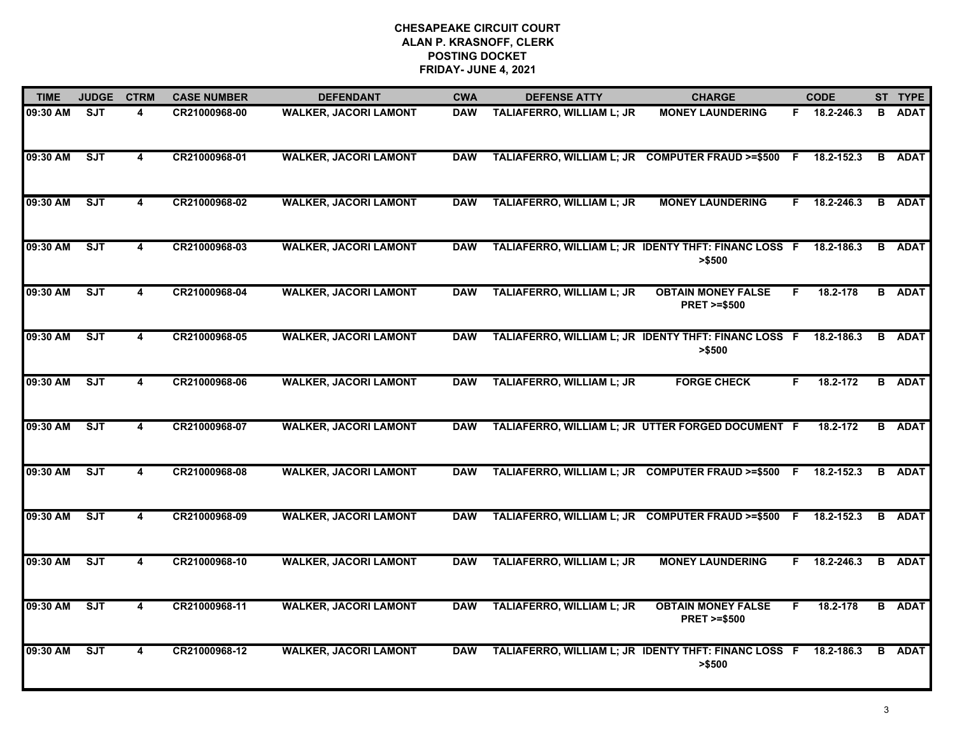| <b>TIME</b> | <b>JUDGE</b> | <b>CTRM</b>             | <b>CASE NUMBER</b> | <b>DEFENDANT</b>             | <b>CWA</b> | <b>DEFENSE ATTY</b>                              | <b>CHARGE</b>                                                   |    | <b>CODE</b>  |   | ST TYPE       |
|-------------|--------------|-------------------------|--------------------|------------------------------|------------|--------------------------------------------------|-----------------------------------------------------------------|----|--------------|---|---------------|
| 09:30 AM    | SJT          | 4                       | CR21000968-00      | <b>WALKER, JACORI LAMONT</b> | <b>DAW</b> | TALIAFERRO, WILLIAM L; JR                        | <b>MONEY LAUNDERING</b>                                         |    | F 18.2-246.3 |   | <b>B</b> ADAT |
| 09:30 AM    | <b>SJT</b>   | 4                       | CR21000968-01      | <b>WALKER, JACORI LAMONT</b> | <b>DAW</b> | TALIAFERRO, WILLIAM L; JR COMPUTER FRAUD >=\$500 |                                                                 | -F | 18.2-152.3   |   | <b>B</b> ADAT |
| 09:30 AM    | SJT          | 4                       | CR21000968-02      | <b>WALKER, JACORI LAMONT</b> | <b>DAW</b> | <b>TALIAFERRO, WILLIAM L; JR</b>                 | <b>MONEY LAUNDERING</b>                                         | F. | 18.2-246.3   |   | <b>B</b> ADAT |
| 09:30 AM    | <b>SJT</b>   | $\overline{\mathbf{4}}$ | CR21000968-03      | <b>WALKER, JACORI LAMONT</b> | <b>DAW</b> |                                                  | TALIAFERRO, WILLIAM L; JR IDENTY THFT: FINANC LOSS F<br>> \$500 |    | 18.2-186.3   | B | <b>ADAT</b>   |
| 09:30 AM    | SJT          | 4                       | CR21000968-04      | <b>WALKER, JACORI LAMONT</b> | <b>DAW</b> | TALIAFERRO, WILLIAM L; JR                        | <b>OBTAIN MONEY FALSE</b><br><b>PRET &gt;=\$500</b>             | F. | 18.2-178     |   | <b>B</b> ADAT |
| 09:30 AM    | SJT          | $\overline{\mathbf{4}}$ | CR21000968-05      | <b>WALKER, JACORI LAMONT</b> | <b>DAW</b> |                                                  | TALIAFERRO, WILLIAM L; JR IDENTY THFT: FINANC LOSS F<br>> \$500 |    | 18.2-186.3   | B | <b>ADAT</b>   |
| 09:30 AM    | ST           | 4                       | CR21000968-06      | <b>WALKER, JACORI LAMONT</b> | <b>DAW</b> | <b>TALIAFERRO, WILLIAM L; JR</b>                 | <b>FORGE CHECK</b>                                              | F. | 18.2-172     |   | <b>B</b> ADAT |
| 09:30 AM    | ST           | 4                       | CR21000968-07      | <b>WALKER, JACORI LAMONT</b> | <b>DAW</b> |                                                  | TALIAFERRO, WILLIAM L; JR UTTER FORGED DOCUMENT F               |    | 18.2-172     |   | <b>B</b> ADAT |
| 09:30 AM    | <b>SJT</b>   | 4                       | CR21000968-08      | <b>WALKER, JACORI LAMONT</b> | <b>DAW</b> | TALIAFERRO, WILLIAM L; JR COMPUTER FRAUD >=\$500 |                                                                 | -F | 18.2-152.3   |   | <b>B</b> ADAT |
| 09:30 AM    | ST           | 4                       | CR21000968-09      | <b>WALKER, JACORI LAMONT</b> | <b>DAW</b> |                                                  | TALIAFERRO, WILLIAM L; JR COMPUTER FRAUD >=\$500 F              |    | 18.2-152.3   |   | <b>B</b> ADAT |
| 09:30 AM    | ST           | 4                       | CR21000968-10      | <b>WALKER, JACORI LAMONT</b> | <b>DAW</b> | <b>TALIAFERRO, WILLIAM L; JR</b>                 | <b>MONEY LAUNDERING</b>                                         | F. | 18.2-246.3   | B | <b>ADAT</b>   |
| 09:30 AM    | ST           | 4                       | CR21000968-11      | <b>WALKER, JACORI LAMONT</b> | <b>DAW</b> | <b>TALIAFERRO, WILLIAM L; JR</b>                 | <b>OBTAIN MONEY FALSE</b><br><b>PRET &gt;=\$500</b>             | F. | 18.2-178     |   | <b>B</b> ADAT |
| 09:30 AM    | <b>SJT</b>   | 4                       | CR21000968-12      | <b>WALKER, JACORI LAMONT</b> | <b>DAW</b> |                                                  | TALIAFERRO, WILLIAM L; JR IDENTY THFT: FINANC LOSS F<br>> \$500 |    | 18.2-186.3   | В | <b>ADAT</b>   |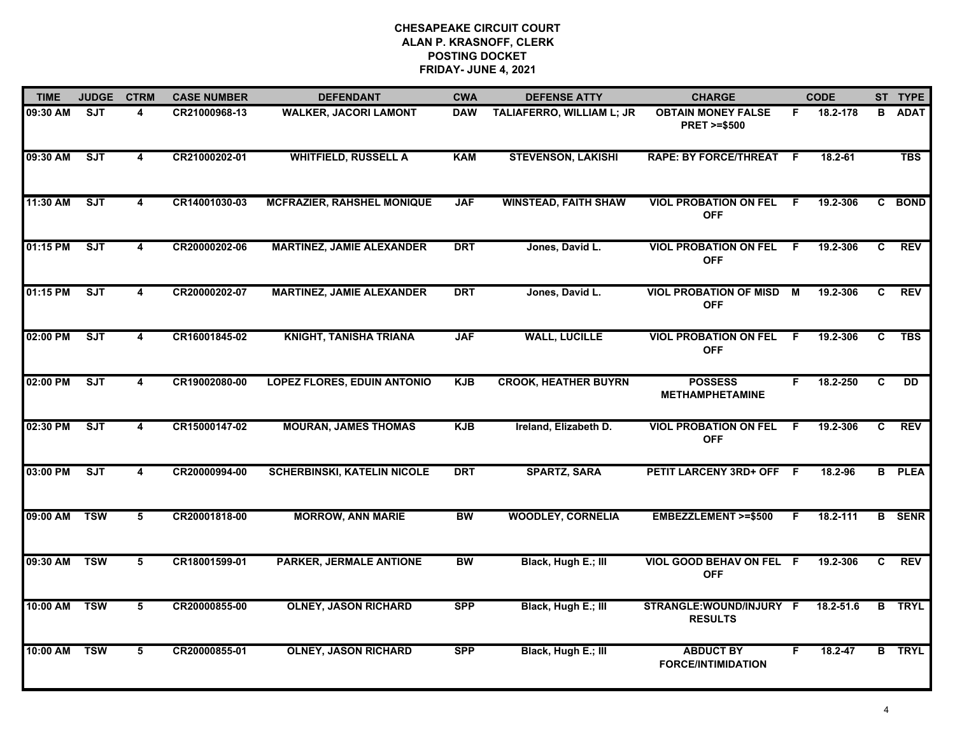| <b>TIME</b> | <b>JUDGE</b> | <b>CTRM</b>             | <b>CASE NUMBER</b> | <b>DEFENDANT</b>                   | <b>CWA</b> | <b>DEFENSE ATTY</b>         | <b>CHARGE</b>                                       |     | <b>CODE</b> |                | ST TYPE       |
|-------------|--------------|-------------------------|--------------------|------------------------------------|------------|-----------------------------|-----------------------------------------------------|-----|-------------|----------------|---------------|
| 09:30 AM    | SJT          | 4                       | CR21000968-13      | <b>WALKER, JACORI LAMONT</b>       | <b>DAW</b> | TALIAFERRO, WILLIAM L; JR   | <b>OBTAIN MONEY FALSE</b><br><b>PRET &gt;=\$500</b> | F.  | 18.2-178    | B              | <b>ADAT</b>   |
| 09:30 AM    | ST           | 4                       | CR21000202-01      | <b>WHITFIELD, RUSSELL A</b>        | <b>KAM</b> | <b>STEVENSON, LAKISHI</b>   | RAPE: BY FORCE/THREAT F                             |     | 18.2-61     |                | <b>TBS</b>    |
| 11:30 AM    | <b>SJT</b>   | $\overline{\mathbf{4}}$ | CR14001030-03      | <b>MCFRAZIER, RAHSHEL MONIQUE</b>  | <b>JAF</b> | <b>WINSTEAD, FAITH SHAW</b> | <b>VIOL PROBATION ON FEL</b><br><b>OFF</b>          | - F | 19.2-306    |                | C BOND        |
| 01:15 PM    | <b>SJT</b>   | 4                       | CR20000202-06      | <b>MARTINEZ, JAMIE ALEXANDER</b>   | <b>DRT</b> | Jones, David L.             | <b>VIOL PROBATION ON FEL</b><br><b>OFF</b>          | - F | 19.2-306    | C              | <b>REV</b>    |
| 01:15 PM    | ST           | $\overline{\mathbf{4}}$ | CR20000202-07      | <b>MARTINEZ, JAMIE ALEXANDER</b>   | <b>DRT</b> | Jones, David L.             | <b>VIOL PROBATION OF MISD</b><br><b>OFF</b>         | М   | 19.2-306    | C              | <b>REV</b>    |
| 02:00 PM    | SJT          | 4                       | CR16001845-02      | <b>KNIGHT, TANISHA TRIANA</b>      | <b>JAF</b> | <b>WALL, LUCILLE</b>        | <b>VIOL PROBATION ON FEL</b><br><b>OFF</b>          | - F | 19.2-306    | C.             | TBS           |
| 02:00 PM    | SJT          | $\overline{\mathbf{4}}$ | CR19002080-00      | <b>LOPEZ FLORES, EDUIN ANTONIO</b> | <b>KJB</b> | <b>CROOK, HEATHER BUYRN</b> | <b>POSSESS</b><br><b>METHAMPHETAMINE</b>            | F.  | 18.2-250    | $\overline{c}$ | DD            |
| 02:30 PM    | SJT          | 4                       | CR15000147-02      | <b>MOURAN, JAMES THOMAS</b>        | <b>KJB</b> | Ireland, Elizabeth D.       | <b>VIOL PROBATION ON FEL</b><br><b>OFF</b>          | -F  | 19.2-306    | C              | <b>REV</b>    |
| 03:00 PM    | SJT          | 4                       | CR20000994-00      | <b>SCHERBINSKI, KATELIN NICOLE</b> | <b>DRT</b> | <b>SPARTZ, SARA</b>         | PETIT LARCENY 3RD+ OFF F                            |     | 18.2-96     |                | <b>B</b> PLEA |
| 09:00 AM    | <b>TSW</b>   | 5                       | CR20001818-00      | <b>MORROW, ANN MARIE</b>           | <b>BW</b>  | <b>WOODLEY, CORNELIA</b>    | EMBEZZLEMENT >=\$500                                | F.  | 18.2-111    |                | <b>B</b> SENR |
| 09:30 AM    | <b>TSW</b>   | 5                       | CR18001599-01      | <b>PARKER, JERMALE ANTIONE</b>     | <b>BW</b>  | Black, Hugh E.; III         | VIOL GOOD BEHAV ON FEL F<br><b>OFF</b>              |     | 19.2-306    | C              | <b>REV</b>    |
| 10:00 AM    | <b>TSW</b>   | $5\overline{5}$         | CR20000855-00      | <b>OLNEY, JASON RICHARD</b>        | <b>SPP</b> | Black, Hugh E.; III         | STRANGLE:WOUND/INJURY F<br><b>RESULTS</b>           |     | 18.2-51.6   |                | <b>B</b> TRYL |
| 10:00 AM    | <b>TSW</b>   | 5                       | CR20000855-01      | <b>OLNEY, JASON RICHARD</b>        | <b>SPP</b> | Black, Hugh E.; III         | <b>ABDUCT BY</b><br><b>FORCE/INTIMIDATION</b>       | F   | $18.2 - 47$ |                | <b>B</b> TRYL |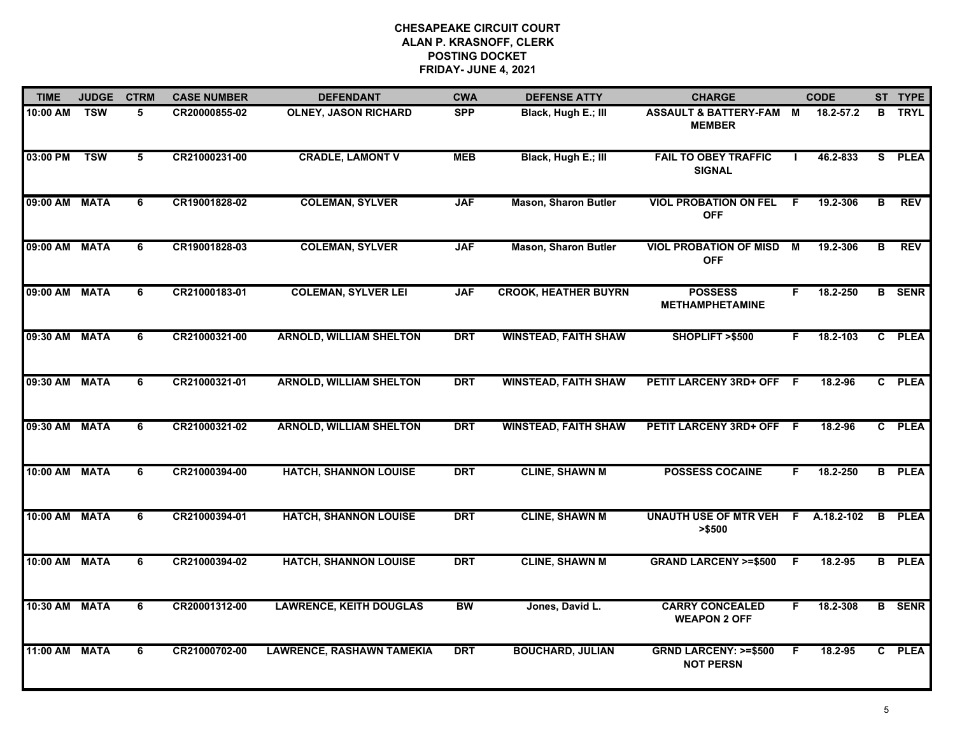| <b>TIME</b>   | <b>JUDGE</b> | <b>CTRM</b>     | <b>CASE NUMBER</b> | <b>DEFENDANT</b>                 | <b>CWA</b> | <b>DEFENSE ATTY</b>         | <b>CHARGE</b>                                       |    | <b>CODE</b> |                         | ST TYPE       |
|---------------|--------------|-----------------|--------------------|----------------------------------|------------|-----------------------------|-----------------------------------------------------|----|-------------|-------------------------|---------------|
| 10:00 AM      | <b>TSW</b>   | 5               | CR20000855-02      | <b>OLNEY, JASON RICHARD</b>      | <b>SPP</b> | Black, Hugh E.; III         | <b>ASSAULT &amp; BATTERY-FAM M</b><br><b>MEMBER</b> |    | 18.2-57.2   | B                       | <b>TRYL</b>   |
| 03:00 PM      | <b>TSW</b>   | $5\overline{)}$ | CR21000231-00      | <b>CRADLE, LAMONT V</b>          | <b>MEB</b> | Black, Hugh E.; III         | <b>FAIL TO OBEY TRAFFIC</b><br><b>SIGNAL</b>        |    | 46.2-833    | $\overline{\mathbf{s}}$ | <b>PLEA</b>   |
| 09:00 AM      | <b>MATA</b>  | $\overline{6}$  | CR19001828-02      | <b>COLEMAN, SYLVER</b>           | <b>JAF</b> | <b>Mason, Sharon Butler</b> | <b>VIOL PROBATION ON FEL</b><br><b>OFF</b>          | F. | 19.2-306    | $\overline{\mathbf{B}}$ | <b>REV</b>    |
| 09:00 AM      | <b>MATA</b>  | 6               | CR19001828-03      | <b>COLEMAN, SYLVER</b>           | <b>JAF</b> | <b>Mason, Sharon Butler</b> | <b>VIOL PROBATION OF MISD</b><br><b>OFF</b>         | М  | 19.2-306    | в                       | <b>REV</b>    |
| 09:00 AM      | <b>MATA</b>  | 6               | CR21000183-01      | <b>COLEMAN, SYLVER LEI</b>       | <b>JAF</b> | <b>CROOK, HEATHER BUYRN</b> | <b>POSSESS</b><br><b>METHAMPHETAMINE</b>            | F. | 18.2-250    |                         | <b>B</b> SENR |
| 09:30 AM MATA |              | 6               | CR21000321-00      | <b>ARNOLD, WILLIAM SHELTON</b>   | <b>DRT</b> | <b>WINSTEAD, FAITH SHAW</b> | SHOPLIFT >\$500                                     | F. | 18.2-103    | $\mathbf{c}$            | <b>PLEA</b>   |
| 09:30 AM      | <b>MATA</b>  | 6               | CR21000321-01      | <b>ARNOLD, WILLIAM SHELTON</b>   | <b>DRT</b> | <b>WINSTEAD, FAITH SHAW</b> | PETIT LARCENY 3RD+ OFF F                            |    | 18.2-96     | $\mathbf{c}$            | <b>PLEA</b>   |
| 09:30 AM      | <b>MATA</b>  | $\overline{6}$  | CR21000321-02      | <b>ARNOLD, WILLIAM SHELTON</b>   | <b>DRT</b> | <b>WINSTEAD, FAITH SHAW</b> | PETIT LARCENY 3RD+ OFF F                            |    | 18.2-96     |                         | C PLEA        |
| 10:00 AM      | <b>MATA</b>  | 6               | CR21000394-00      | <b>HATCH, SHANNON LOUISE</b>     | <b>DRT</b> | <b>CLINE, SHAWN M</b>       | <b>POSSESS COCAINE</b>                              | F. | 18.2-250    | B                       | <b>PLEA</b>   |
| 10:00 AM      | <b>MATA</b>  | 6               | CR21000394-01      | <b>HATCH, SHANNON LOUISE</b>     | <b>DRT</b> | <b>CLINE, SHAWN M</b>       | <b>UNAUTH USE OF MTR VEH F</b><br>> \$500           |    | A.18.2-102  | B                       | <b>PLEA</b>   |
| 10:00 AM MATA |              | 6               | CR21000394-02      | <b>HATCH, SHANNON LOUISE</b>     | <b>DRT</b> | <b>CLINE, SHAWN M</b>       | <b>GRAND LARCENY &gt;=\$500</b>                     | -F | 18.2-95     |                         | <b>B</b> PLEA |
| 10:30 AM      | <b>MATA</b>  | $\overline{6}$  | CR20001312-00      | <b>LAWRENCE, KEITH DOUGLAS</b>   | <b>BW</b>  | Jones, David L.             | <b>CARRY CONCEALED</b><br><b>WEAPON 2 OFF</b>       | F. | 18.2-308    |                         | <b>B</b> SENR |
| 11:00 AM      | <b>MATA</b>  | $\overline{6}$  | CR21000702-00      | <b>LAWRENCE, RASHAWN TAMEKIA</b> | <b>DRT</b> | <b>BOUCHARD, JULIAN</b>     | <b>GRND LARCENY: &gt;=\$500</b><br><b>NOT PERSN</b> | F. | 18.2-95     |                         | C PLEA        |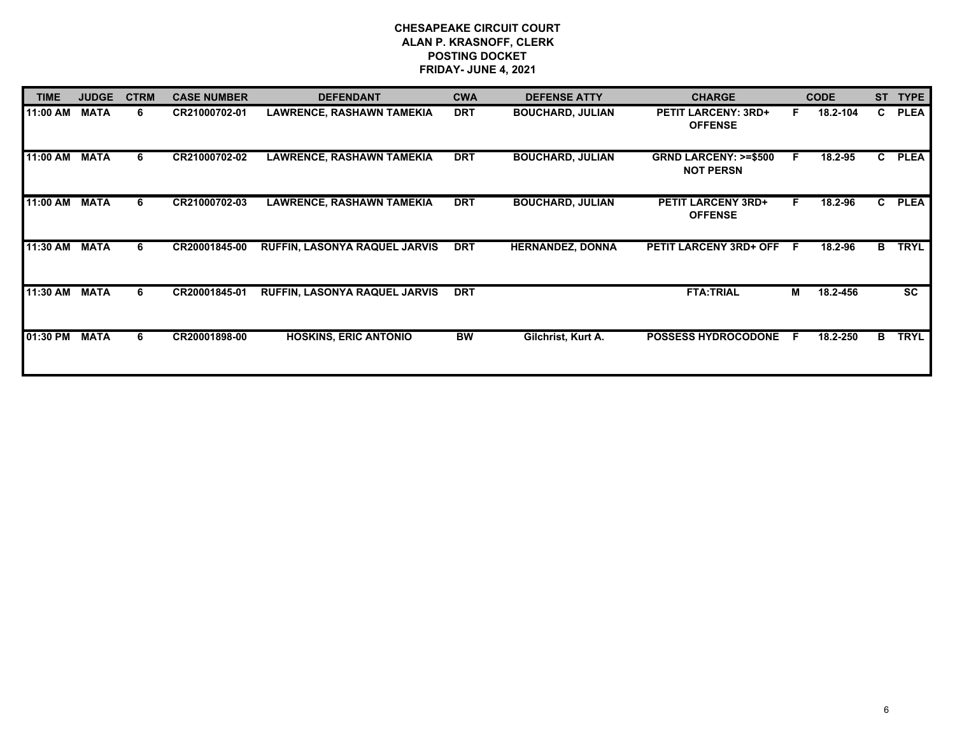| <b>TIME</b> | <b>JUDGE</b> | <b>CTRM</b> | <b>CASE NUMBER</b> | <b>DEFENDANT</b>                     | <b>CWA</b> | <b>DEFENSE ATTY</b>     | <b>CHARGE</b>                                       |     | <b>CODE</b> | <b>ST</b>    | <b>TYPE</b> |
|-------------|--------------|-------------|--------------------|--------------------------------------|------------|-------------------------|-----------------------------------------------------|-----|-------------|--------------|-------------|
| 11:00 AM    | <b>MATA</b>  | 6           | CR21000702-01      | <b>LAWRENCE, RASHAWN TAMEKIA</b>     | <b>DRT</b> | <b>BOUCHARD, JULIAN</b> | <b>PETIT LARCENY: 3RD+</b><br><b>OFFENSE</b>        | F.  | 18.2-104    | C.           | <b>PLEA</b> |
| 11:00 AM    | <b>MATA</b>  | 6           | CR21000702-02      | <b>LAWRENCE, RASHAWN TAMEKIA</b>     | <b>DRT</b> | <b>BOUCHARD, JULIAN</b> | <b>GRND LARCENY: &gt;=\$500</b><br><b>NOT PERSN</b> | F.  | 18.2-95     | $\mathbf{c}$ | <b>PLEA</b> |
| 11:00 AM    | <b>MATA</b>  | 6           | CR21000702-03      | <b>LAWRENCE, RASHAWN TAMEKIA</b>     | <b>DRT</b> | <b>BOUCHARD, JULIAN</b> | <b>PETIT LARCENY 3RD+</b><br><b>OFFENSE</b>         | F.  | 18.2-96     | C.           | <b>PLEA</b> |
| 11:30 AM    | <b>MATA</b>  | 6           | CR20001845-00      | RUFFIN, LASONYA RAQUEL JARVIS        | <b>DRT</b> | <b>HERNANDEZ, DONNA</b> | <b>PETIT LARCENY 3RD+ OFF</b>                       | - F | 18.2-96     | в            | <b>TRYL</b> |
| 11:30 AM    | <b>MATA</b>  | 6           | CR20001845-01      | <b>RUFFIN, LASONYA RAQUEL JARVIS</b> | <b>DRT</b> |                         | <b>FTA:TRIAL</b>                                    | М   | 18.2-456    |              | <b>SC</b>   |
| 01:30 PM    | <b>MATA</b>  | 6           | CR20001898-00      | <b>HOSKINS, ERIC ANTONIO</b>         | <b>BW</b>  | Gilchrist, Kurt A.      | <b>POSSESS HYDROCODONE</b>                          | -F  | 18.2-250    | В            | <b>TRYL</b> |